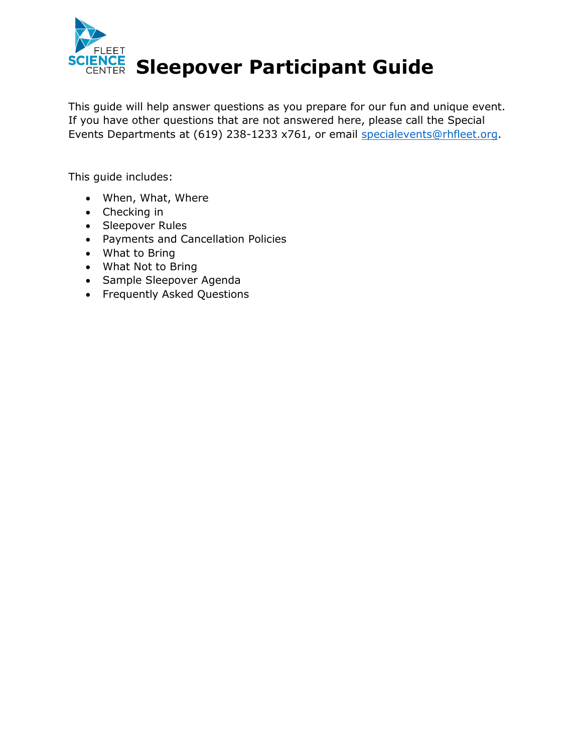

This guide will help answer questions as you prepare for our fun and unique event. If you have other questions that are not answered here, please call the Special Events Departments at (619) 238-1233 x761, or email [specialevents@rhfleet.org.](mailto:specialevents@rhfleet.org)

This guide includes:

- When, What, Where
- Checking in
- Sleepover Rules
- Payments and Cancellation Policies
- What to Bring
- What Not to Bring
- Sample Sleepover Agenda
- Frequently Asked Questions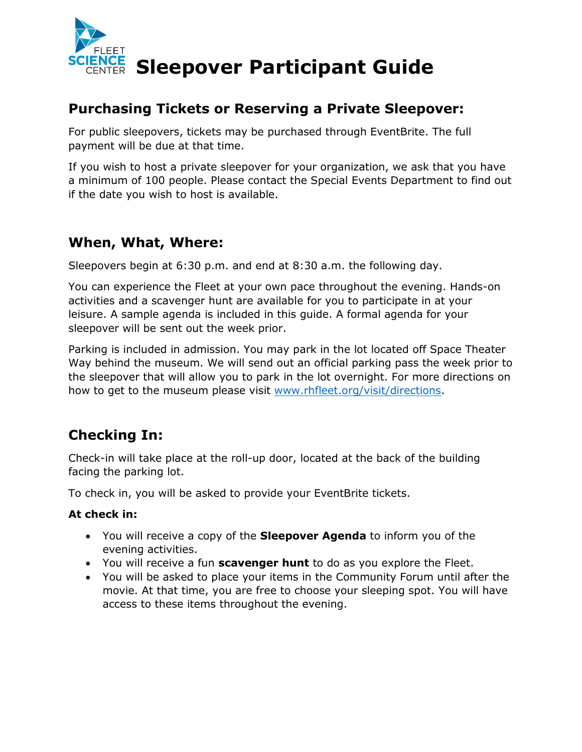

**Sleepover Participant Guide** 

#### **Purchasing Tickets or Reserving a Private Sleepover:**

For public sleepovers, tickets may be purchased through EventBrite. The full payment will be due at that time.

If you wish to host a private sleepover for your organization, we ask that you have a minimum of 100 people. Please contact the Special Events Department to find out if the date you wish to host is available.

#### **When, What, Where:**

Sleepovers begin at 6:30 p.m. and end at 8:30 a.m. the following day.

You can experience the Fleet at your own pace throughout the evening. Hands-on activities and a scavenger hunt are available for you to participate in at your leisure. A sample agenda is included in this guide. A formal agenda for your sleepover will be sent out the week prior.

Parking is included in admission. You may park in the lot located off Space Theater Way behind the museum. We will send out an official parking pass the week prior to the sleepover that will allow you to park in the lot overnight. For more directions on how to get to the museum please visit [www.rhfleet.org/visit/directions.](http://www.rhfleet.org/visit/directions)

## **Checking In:**

Check-in will take place at the roll-up door, located at the back of the building facing the parking lot.

To check in, you will be asked to provide your EventBrite tickets.

#### **At check in:**

- You will receive a copy of the **Sleepover Agenda** to inform you of the evening activities.
- You will receive a fun **scavenger hunt** to do as you explore the Fleet.
- You will be asked to place your items in the Community Forum until after the movie. At that time, you are free to choose your sleeping spot. You will have access to these items throughout the evening.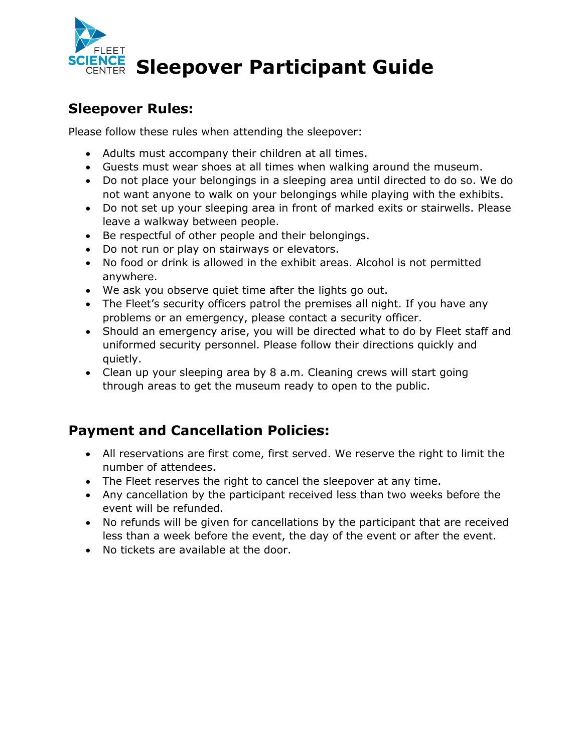

# **NGE Sleepover Participant Guide**

#### **Sleepover Rules:**

Please follow these rules when attending the sleepover:

- Adults must accompany their children at all times.
- Guests must wear shoes at all times when walking around the museum.
- Do not place your belongings in a sleeping area until directed to do so. We do not want anyone to walk on your belongings while playing with the exhibits.
- Do not set up your sleeping area in front of marked exits or stairwells. Please leave a walkway between people.
- Be respectful of other people and their belongings.
- Do not run or play on stairways or elevators.
- No food or drink is allowed in the exhibit areas. Alcohol is not permitted anywhere.
- We ask you observe quiet time after the lights go out.
- The Fleet's security officers patrol the premises all night. If you have any problems or an emergency, please contact a security officer.
- Should an emergency arise, you will be directed what to do by Fleet staff and uniformed security personnel. Please follow their directions quickly and quietly.
- Clean up your sleeping area by 8 a.m. Cleaning crews will start going through areas to get the museum ready to open to the public.

### **Payment and Cancellation Policies:**

- All reservations are first come, first served. We reserve the right to limit the number of attendees.
- The Fleet reserves the right to cancel the sleepover at any time.
- Any cancellation by the participant received less than two weeks before the event will be refunded.
- No refunds will be given for cancellations by the participant that are received less than a week before the event, the day of the event or after the event.
- No tickets are available at the door.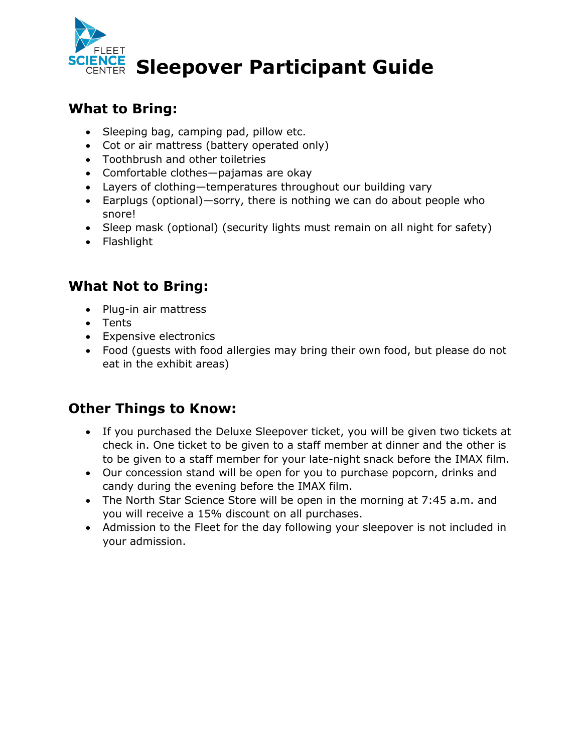

## **ENCE Sleepover Participant Guide**

#### **What to Bring:**

- Sleeping bag, camping pad, pillow etc.
- Cot or air mattress (battery operated only)
- Toothbrush and other toiletries
- Comfortable clothes—pajamas are okay
- Layers of clothing—temperatures throughout our building vary
- Earplugs (optional)—sorry, there is nothing we can do about people who snore!
- Sleep mask (optional) (security lights must remain on all night for safety)
- Flashlight

#### **What Not to Bring:**

- Plug-in air mattress
- Tents
- Expensive electronics
- Food (guests with food allergies may bring their own food, but please do not eat in the exhibit areas)

### **Other Things to Know:**

- If you purchased the Deluxe Sleepover ticket, you will be given two tickets at check in. One ticket to be given to a staff member at dinner and the other is to be given to a staff member for your late-night snack before the IMAX film.
- Our concession stand will be open for you to purchase popcorn, drinks and candy during the evening before the IMAX film.
- The North Star Science Store will be open in the morning at 7:45 a.m. and you will receive a 15% discount on all purchases.
- Admission to the Fleet for the day following your sleepover is not included in your admission.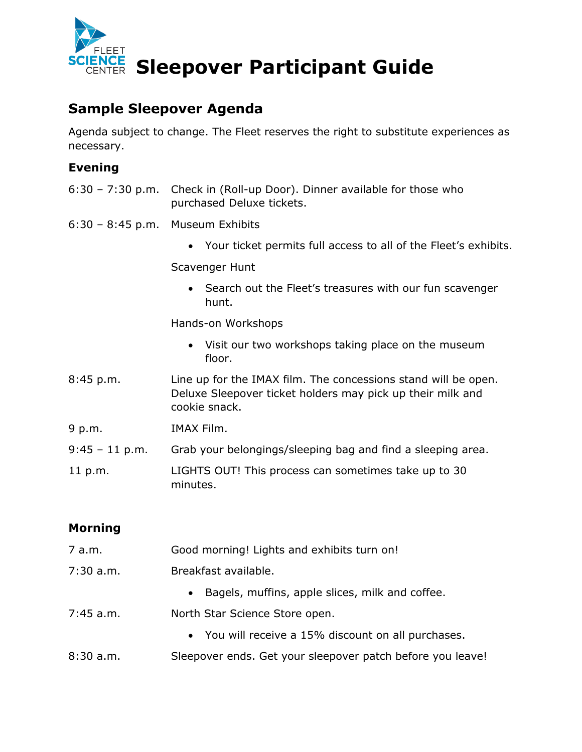

## **Sleepover Participant Guide**

#### **Sample Sleepover Agenda**

Agenda subject to change. The Fleet reserves the right to substitute experiences as necessary.

#### **Evening**

- 6:30 7:30 p.m. Check in (Roll-up Door). Dinner available for those who purchased Deluxe tickets.
- 6:30 8:45 p.m. Museum Exhibits
	- Your ticket permits full access to all of the Fleet's exhibits.

Scavenger Hunt

• Search out the Fleet's treasures with our fun scavenger hunt.

Hands-on Workshops

- Visit our two workshops taking place on the museum floor.
- 8:45 p.m. Line up for the IMAX film. The concessions stand will be open. Deluxe Sleepover ticket holders may pick up their milk and cookie snack.
- 9 p.m. IMAX Film.
- 9:45 11 p.m. Grab your belongings/sleeping bag and find a sleeping area.
- 11 p.m. LIGHTS OUT! This process can sometimes take up to 30 minutes.

#### **Morning**

7 a.m. Good morning! Lights and exhibits turn on! 7:30 a.m. Breakfast available. • Bagels, muffins, apple slices, milk and coffee. 7:45 a.m. North Star Science Store open. • You will receive a 15% discount on all purchases. 8:30 a.m. Sleepover ends. Get your sleepover patch before you leave!